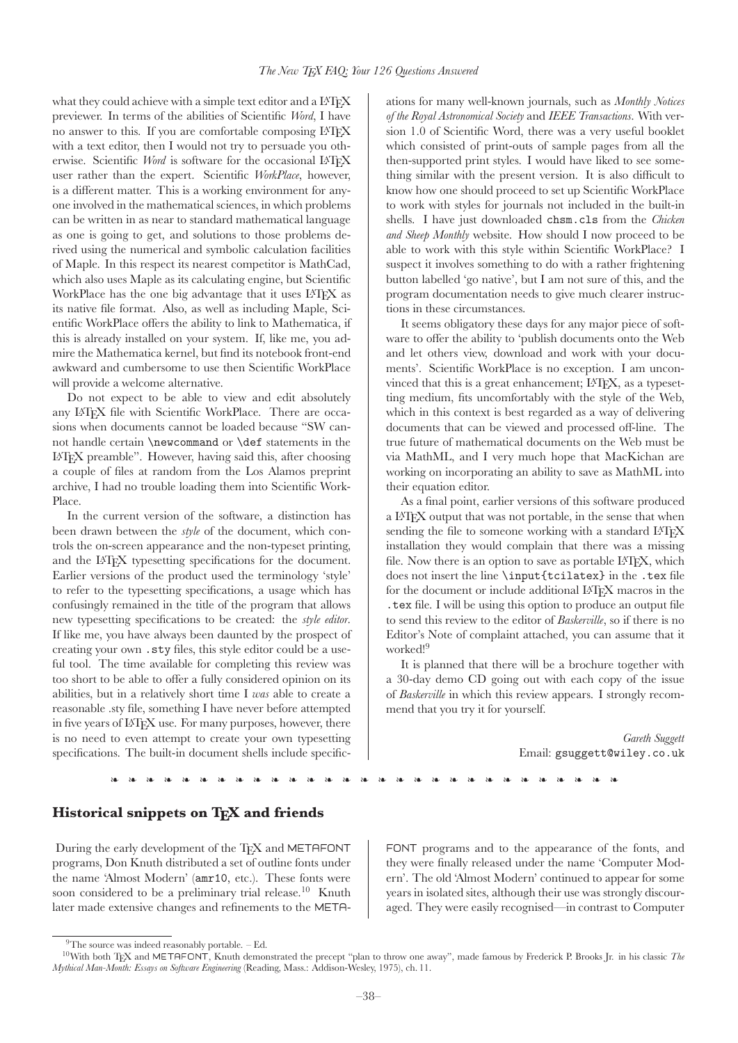what they could achieve with a simple text editor and a IATFX previewer. In terms of the abilities of Scientific Word, I have no answer to this. If you are comfortable composing L<sup>A</sup>TEX with a text editor, then I would not try to persuade you otherwise. Scientific Word is software for the occasional IATFX user rather than the expert. Scientific WorkPlace, however, is a different matter. This is a working environment for anyone involved in the mathematical sciences, in which problems can be written in as near to standard mathematical language as one is going to get, and solutions to those problems derived using the numerical and symbolic calculation facilities of Maple. In this respect its nearest competitor is MathCad, which also uses Maple as its calculating engine, but Scientific WorkPlace has the one big advantage that it uses LAT<sub>EX</sub> as its native file format. Also, as well as including Maple, Scientific WorkPlace offers the ability to link to Mathematica, if this is already installed on your system. If, like me, you admire the Mathematica kernel, but find its notebook front-end awkward and cumbersome to use then Scientific WorkPlace will provide a welcome alternative.

Do not expect to be able to view and edit absolutely any L<sup>A</sup>TEX file with Scientific WorkPlace. There are occasions when documents cannot be loaded because "SW cannot handle certain \newcommand or \def statements in the L<sup>A</sup>TEX preamble". However, having said this, after choosing a couple of files at random from the Los Alamos preprint archive, I had no trouble loading them into Scientific Work-Place.

In the current version of the software, a distinction has been drawn between the style of the document, which controls the on-screen appearance and the non-typeset printing, and the L<sup>A</sup>TEX typesetting specifications for the document. Earlier versions of the product used the terminology 'style' to refer to the typesetting specifications, a usage which has confusingly remained in the title of the program that allows new typesetting specifications to be created: the style editor. If like me, you have always been daunted by the prospect of creating your own .sty files, this style editor could be a useful tool. The time available for completing this review was too short to be able to offer a fully considered opinion on its abilities, but in a relatively short time I was able to create a reasonable .sty file, something I have never before attempted in five years of LATEX use. For many purposes, however, there is no need to even attempt to create your own typesetting specifications. The built-in document shells include specifications for many well-known journals, such as Monthly Notices of the Royal Astronomical Society and IEEE Transactions. With version 1.0 of Scientific Word, there was a very useful booklet which consisted of print-outs of sample pages from all the then-supported print styles. I would have liked to see something similar with the present version. It is also difficult to know how one should proceed to set up Scientific WorkPlace to work with styles for journals not included in the built-in shells. I have just downloaded chsm.cls from the Chicken and Sheep Monthly website. How should I now proceed to be able to work with this style within Scientific WorkPlace? I suspect it involves something to do with a rather frightening button labelled 'go native', but I am not sure of this, and the program documentation needs to give much clearer instructions in these circumstances.

It seems obligatory these days for any major piece of software to offer the ability to 'publish documents onto the Web and let others view, download and work with your documents'. Scientific WorkPlace is no exception. I am unconvinced that this is a great enhancement; IATEX, as a typesetting medium, fits uncomfortably with the style of the Web, which in this context is best regarded as a way of delivering documents that can be viewed and processed off-line. The true future of mathematical documents on the Web must be via MathML, and I very much hope that MacKichan are working on incorporating an ability to save as MathML into their equation editor.

As a final point, earlier versions of this software produced a L<sup>A</sup>TEX output that was not portable, in the sense that when sending the file to someone working with a standard LATEX installation they would complain that there was a missing file. Now there is an option to save as portable IATEX, which does not insert the line \input{tcilatex} in the .tex file for the document or include additional L<sup>A</sup>TEX macros in the .tex file. I will be using this option to produce an output file to send this review to the editor of Baskerville, so if there is no Editor's Note of complaint attached, you can assume that it worked!<sup>9</sup>

It is planned that there will be a brochure together with a 30-day demo CD going out with each copy of the issue of Baskerville in which this review appears. I strongly recommend that you try it for yourself.

> Gareth Suggett Email: gsuggett@wiley.co.uk

❧ ❧ ❧ ❧ ❧ ❧ ❧ ❧ ❧ ❧ ❧ ❧ ❧ ❧ ❧ ❧ ❧ ❧ ❧ ❧ ❧ ❧ ❧ ❧ ❧ ❧ ❧ ❧ ❧

### Historical snippets on TFX and friends

During the early development of the T<sub>F</sub>X and METAFONT FONT programs and to the appearance of the fonts, and programs, Don Knuth distributed a set of outline fonts under the name 'Almost Modern' (amr10, etc.). These fonts were soon considered to be a preliminary trial release.<sup>10</sup> Knuth During the early development of the T<sub>E</sub>X and METAFONT<br>programs and to the appearance of the fonts, and<br>programs, Don Knuth distributed a set of outline fonts under<br>the programs and to the appearance of the fonts, and<br>they

they were finally released under the name 'Computer Modern'. The old 'Almost Modern' continued to appear for some years in isolated sites, although their use was strongly discouraged. They were easily recognised—in contrast to Computer

 $9^9$ The source was indeed reasonably portable.  $-$  Ed.

<sup>&</sup>lt;sup>10</sup>With both T<sub>EX</sub> and METAFONT, Knuth demonstrated the precept "plan to throw one away", made famous by Frederick P. Brooks Jr. in his classic The Mythical Man-Month: Essays on Software Engineering (Reading, Mass.: Addison-Wesley, 1975), ch. 11.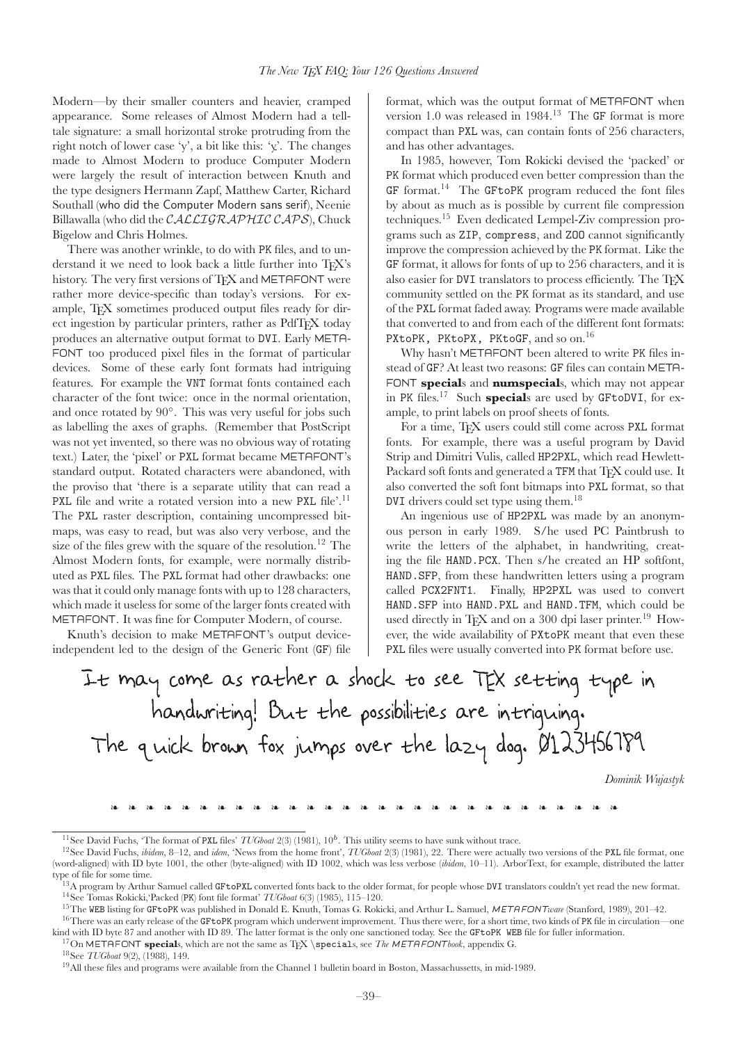Modern—by their smaller counters and heavier, cramped appearance. Some releases of Almost Modern had a telltale signature: a small horizontal stroke protruding from the right notch of lower case 'y', a bit like this: 'y'. The changes made to Almost Modern to produce Computer Modern were largely the result of interaction between Knuth and the type designers Hermann Zapf, Matthew Carter, Richard Southall (who did the Computer Modern sans serif), Neenie Billawalla (who did the CALLIGRAPHIC CAPS), Chuck Bigelow and Chris Holmes.

There was another wrinkle, to do with PK files, and to understand it we need to look back a little further into TFX's history. The very first versions of TFX and METAFONT were rather more device-specific than today's versions. For example, T<sub>EX</sub> sometimes produced output files ready for direct ingestion by particular printers, rather as PdfT<sub>E</sub>X today produces an alternative output format to DVI. Early META-FONT too produced pixel files in the format of particular devices. Some of these early font formats had intriguing features. For example the VNT format fonts contained each character of the font twice: once in the normal orientation, and once rotated by 90◦. This was very useful for jobs such as labelling the axes of graphs. (Remember that PostScript was not yet invented, so there was no obvious way of rotating text.) Later, the 'pixel' or PXL format became METAFONT's standard output. Rotated characters were abandoned, with the proviso that 'there is a separate utility that can read a PXL file and write a rotated version into a new PXL file'.<sup>11</sup> The PXL raster description, containing uncompressed bitmaps, was easy to read, but was also very verbose, and the size of the files grew with the square of the resolution.<sup>12</sup> The Almost Modern fonts, for example, were normally distributed as PXL files. The PXL format had other drawbacks: one was that it could only manage fonts with up to 128 characters, which made it useless for some of the larger fonts created with METAFONT. It was fine for Computer Modern, of course.

Knuth's decision to make METAFONT's output deviceindependent led to the design of the Generic Font (GF) file format, which was the output format of METAFONT when version 1.0 was released in 1984.<sup>13</sup> The GF format is more compact than PXL was, can contain fonts of 256 characters, and has other advantages.

In 1985, however, Tom Rokicki devised the 'packed' or PK format which produced even better compression than the  $GF$  format.<sup>14</sup> The GFtoPK program reduced the font files by about as much as is possible by current file compression techniques.<sup>15</sup> Even dedicated Lempel-Ziv compression programs such as ZIP, compress, and ZOO cannot significantly improve the compression achieved by the PK format. Like the GF format, it allows for fonts of up to 256 characters, and it is also easier for DVI translators to process efficiently. The TFX community settled on the PK format as its standard, and use of the PXL format faded away. Programs were made available that converted to and from each of the different font formats: PXtoPK, PKtoPX, PKtoGF, and so on.<sup>16</sup>

Why hasn't METAFONT been altered to write PK files instead of GF? At least two reasons: GF files can contain META-FONT specials and numspecials, which may not appear in PK files.<sup>17</sup> Such **special**s are used by GFtoDVI, for example, to print labels on proof sheets of fonts.

For a time, TFX users could still come across PXL format fonts. For example, there was a useful program by David Strip and Dimitri Vulis, called HP2PXL, which read Hewlett-Packard soft fonts and generated a TFM that TFX could use. It also converted the soft font bitmaps into PXL format, so that DVI drivers could set type using them.<sup>18</sup>

An ingenious use of HP2PXL was made by an anonymous person in early 1989. S/he used PC Paintbrush to write the letters of the alphabet, in handwriting, creating the file HAND.PCX. Then s/he created an HP softfont, HAND.SFP, from these handwritten letters using a program called PCX2FNT1. Finally, HP2PXL was used to convert HAND.SFP into HAND.PXL and HAND.TFM, which could be used directly in TEX and on a 300 dpi laser printer.<sup>19</sup> However, the wide availability of PXtoPK meant that even these PXL files were usually converted into PK format before use.

It may come as rather a shock to see TEX setting type in handwriting! But the possibilities are intriguing. The quick brown fox jumps over the lazy dog. 0123456789

Dominik Wujastyk

❧ ❧ ❧ ❧ ❧ ❧ ❧ ❧ ❧ ❧ ❧ ❧ ❧ ❧ ❧ ❧ ❧ ❧ ❧ ❧ ❧ ❧ ❧ ❧ ❧ ❧ ❧ ❧ ❧

<sup>&</sup>lt;sup>11</sup>See David Fuchs, 'The format of PXL files' *TUGboat* 2(3) (1981), 10<sup>b</sup>. This utility seems to have sunk without trace.<br><sup>12</sup>See David Fuchs, *ibidem*, 8–12, and *idem*, 'News from the home front', *TUGboat* 2(3) (1981 (word-aligned) with ID byte 1001, the other (byte-aligned) with ID 1002, which was less verbose (ibidem, 10-11). ArborText, for example, distributed the latter type of file for some time.

<sup>&</sup>lt;sup>13</sup>A program by Arthur Samuel called GFtoPXL converted fonts back to the older format, for people whose DVI translators couldn't yet read the new format.<br><sup>14</sup>See Tomas Rokicki, Packed (PK) font file format' *TUGboat* 6(3

<sup>&</sup>lt;sup>17</sup>On METAFONT **special**s, which are not the same as T<sub>E</sub>X \specials, see *The METAFONTbook*, appendix G.<br><sup>18</sup>See *TUGboat* 9(2), (1988), 149.<br><sup>19</sup>All these files and programs were available from the Channel 1 bulletin b